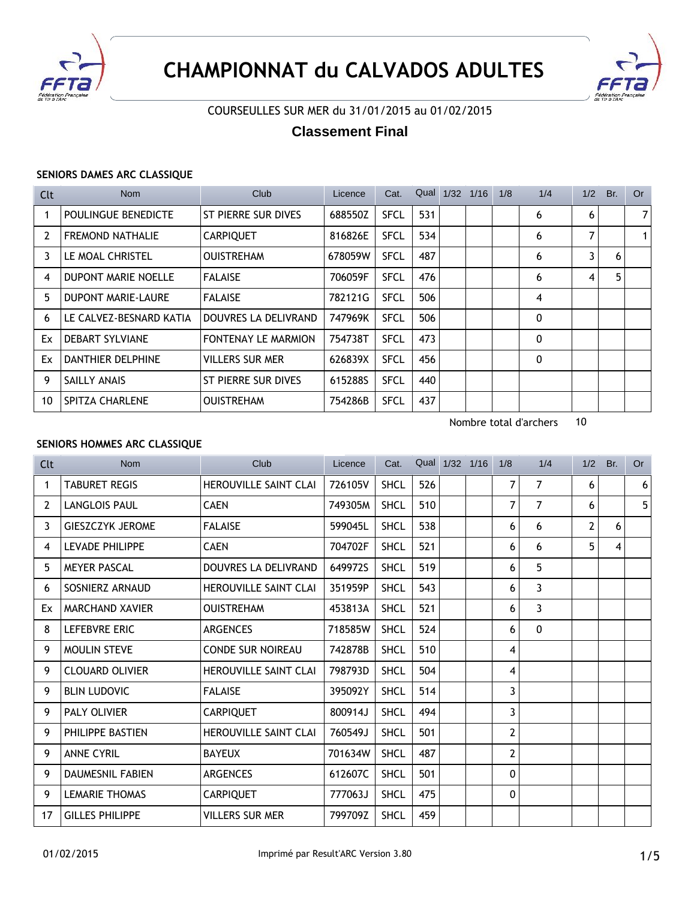



## COURSEULLES SUR MER du 31/01/2015 au 01/02/2015

# **Classement Final**

#### **SENIORS DAMES ARC CLASSIQUE**

| Clt | <b>Nom</b>                | Club                       | Licence | Cat.        | Qual | 1/32 | 1/16 | 1/8 | 1/4 | 1/2 | Br. | Or             |
|-----|---------------------------|----------------------------|---------|-------------|------|------|------|-----|-----|-----|-----|----------------|
|     | POULINGUE BENEDICTE       | ST PIERRE SUR DIVES        | 688550Z | <b>SFCL</b> | 531  |      |      |     | 6   | 6   |     | 7 <sup>1</sup> |
| 2   | <b>FREMOND NATHALIE</b>   | <b>CARPIQUET</b>           | 816826E | <b>SFCL</b> | 534  |      |      |     | 6   | 7   |     |                |
| 3.  | LE MOAL CHRISTEL          | <b>OUISTREHAM</b>          | 678059W | <b>SFCL</b> | 487  |      |      |     | 6   | 3   | 6   |                |
| 4   | DUPONT MARIE NOELLE       | <b>FALAISE</b>             | 706059F | <b>SFCL</b> | 476  |      |      |     | 6   | 4   | 5   |                |
| 5.  | <b>DUPONT MARIE-LAURE</b> | <b>FALAISE</b>             | 782121G | <b>SFCL</b> | 506  |      |      |     | 4   |     |     |                |
| 6   | LE CALVEZ-BESNARD KATIA   | DOUVRES LA DELIVRAND       | 747969K | <b>SFCL</b> | 506  |      |      |     | 0   |     |     |                |
| Ex  | <b>DEBART SYLVIANE</b>    | <b>FONTENAY LE MARMION</b> | 754738T | <b>SFCL</b> | 473  |      |      |     | 0   |     |     |                |
| Ex  | <b>DANTHIER DELPHINE</b>  | <b>VILLERS SUR MER</b>     | 626839X | <b>SFCL</b> | 456  |      |      |     | 0   |     |     |                |
| 9   | SAILLY ANAIS              | ST PIERRE SUR DIVES        | 615288S | <b>SFCL</b> | 440  |      |      |     |     |     |     |                |
| 10  | <b>SPITZA CHARLENE</b>    | <b>OUISTREHAM</b>          | 754286B | <b>SFCL</b> | 437  |      |      |     |     |     |     |                |

Nombre total d'archers 10

### **SENIORS HOMMES ARC CLASSIQUE**

| Clt | <b>Nom</b>              | Club                         | Licence | Cat.        |     | Qual 1/32 1/16 | 1/8          | 1/4 | 1/2 | Br. | <b>Or</b>      |
|-----|-------------------------|------------------------------|---------|-------------|-----|----------------|--------------|-----|-----|-----|----------------|
| 1   | <b>TABURET REGIS</b>    | HEROUVILLE SAINT CLAI        | 726105V | <b>SHCL</b> | 526 |                | 7            | 7   | 6   |     | 6 <sup>1</sup> |
| 2   | <b>LANGLOIS PAUL</b>    | <b>CAEN</b>                  | 749305M | <b>SHCL</b> | 510 |                | 7            | 7   | 6   |     | 5              |
| 3   | <b>GIESZCZYK JEROME</b> | <b>FALAISE</b>               | 599045L | <b>SHCL</b> | 538 |                | 6            | 6   | 2   | 6   |                |
| 4   | <b>LEVADE PHILIPPE</b>  | <b>CAEN</b>                  | 704702F | <b>SHCL</b> | 521 |                | 6            | 6   | 5   | 4   |                |
| 5.  | <b>MEYER PASCAL</b>     | DOUVRES LA DELIVRAND         | 649972S | <b>SHCL</b> | 519 |                | 6            | 5   |     |     |                |
| 6   | SOSNIERZ ARNAUD         | <b>HEROUVILLE SAINT CLAI</b> | 351959P | <b>SHCL</b> | 543 |                | 6            | 3   |     |     |                |
| Ex  | <b>MARCHAND XAVIER</b>  | <b>OUISTREHAM</b>            | 453813A | <b>SHCL</b> | 521 |                | 6            | 3   |     |     |                |
| 8   | <b>LEFEBVRE ERIC</b>    | <b>ARGENCES</b>              | 718585W | <b>SHCL</b> | 524 |                | 6            | 0   |     |     |                |
| 9   | <b>MOULIN STEVE</b>     | <b>CONDE SUR NOIREAU</b>     | 742878B | <b>SHCL</b> | 510 |                | 4            |     |     |     |                |
| 9   | <b>CLOUARD OLIVIER</b>  | <b>HEROUVILLE SAINT CLAI</b> | 798793D | <b>SHCL</b> | 504 |                | 4            |     |     |     |                |
| 9   | <b>BLIN LUDOVIC</b>     | <b>FALAISE</b>               | 395092Y | <b>SHCL</b> | 514 |                | 3            |     |     |     |                |
| 9   | <b>PALY OLIVIER</b>     | <b>CARPIQUET</b>             | 800914J | <b>SHCL</b> | 494 |                | 3            |     |     |     |                |
| 9   | PHILIPPE BASTIEN        | <b>HEROUVILLE SAINT CLAI</b> | 760549J | <b>SHCL</b> | 501 |                | 2            |     |     |     |                |
| 9   | <b>ANNE CYRIL</b>       | <b>BAYEUX</b>                | 701634W | <b>SHCL</b> | 487 |                | 2            |     |     |     |                |
| 9   | <b>DAUMESNIL FABIEN</b> | <b>ARGENCES</b>              | 612607C | <b>SHCL</b> | 501 |                | $\mathbf{0}$ |     |     |     |                |
| 9   | <b>LEMARIE THOMAS</b>   | <b>CARPIQUET</b>             | 777063J | <b>SHCL</b> | 475 |                | 0            |     |     |     |                |
| 17  | <b>GILLES PHILIPPE</b>  | VILLERS SUR MER              | 799709Z | <b>SHCL</b> | 459 |                |              |     |     |     |                |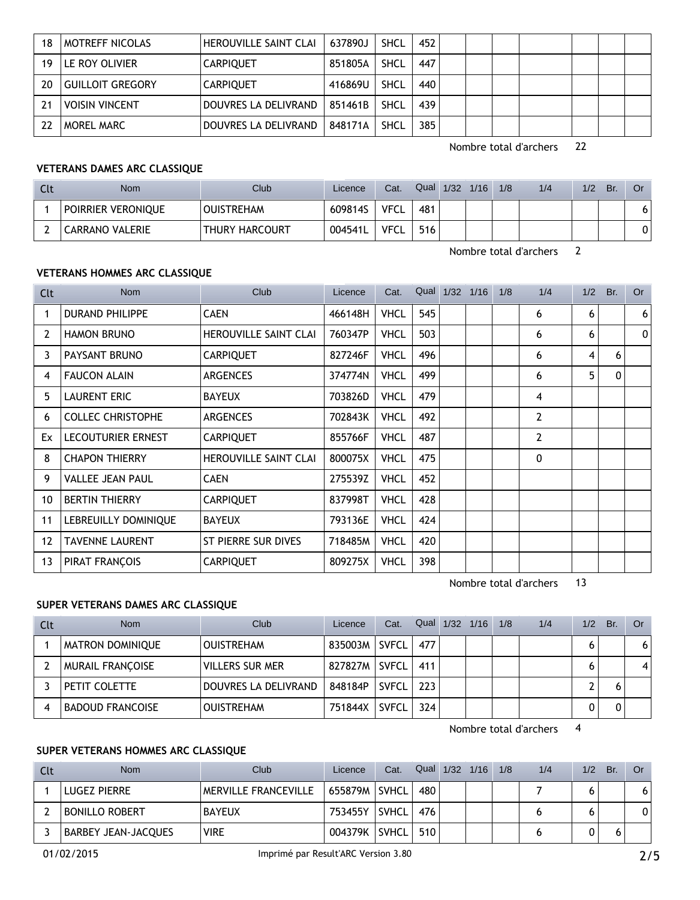| 18 | MOTREFF NICOLAS         | HEROUVILLE SAINT CLAI | 637890J | SHCL        | 452 |  |  |  |  |
|----|-------------------------|-----------------------|---------|-------------|-----|--|--|--|--|
| 19 | LE ROY OLIVIER          | <b>CARPIQUET</b>      | 851805A | <b>SHCL</b> | 447 |  |  |  |  |
| 20 | <b>GUILLOIT GREGORY</b> | <b>CARPIQUET</b>      | 416869U | SHCL        | 440 |  |  |  |  |
|    | <b>VOISIN VINCENT</b>   | DOUVRES LA DELIVRAND  | 851461B | SHCL        | 439 |  |  |  |  |
|    | MOREL MARC              | DOUVRES LA DELIVRAND  | 848171A | <b>SHCL</b> | 385 |  |  |  |  |

#### **VETERANS DAMES ARC CLASSIQUE**

| Cl | <b>Nom</b>         | Club <sup>1</sup>     | Licence | Cat. | Qual | 1/32 | 1/16 | 1/8 | 1/4 | 1/2 | Br. | Or |
|----|--------------------|-----------------------|---------|------|------|------|------|-----|-----|-----|-----|----|
|    | POIRRIER VERONIQUE | <b>OUISTREHAM</b>     | 609814S | VFCL | 481  |      |      |     |     |     |     | 6  |
|    | CARRANO VALERIE    | <b>THURY HARCOURT</b> | 004541L | VFCL | 516  |      |      |     |     |     |     | 0  |

Nombre total d'archers 2

#### **VETERANS HOMMES ARC CLASSIQUE**

| Clt | <b>Nom</b>               | Club                         | Licence | Cat.        | Qual | 1/32 | 1/16 | 1/8 | 1/4 | 1/2 | Br. | Or       |
|-----|--------------------------|------------------------------|---------|-------------|------|------|------|-----|-----|-----|-----|----------|
|     | <b>DURAND PHILIPPE</b>   | <b>CAEN</b>                  | 466148H | <b>VHCL</b> | 545  |      |      |     | 6   | 6   |     | 6        |
| 2   | <b>HAMON BRUNO</b>       | <b>HEROUVILLE SAINT CLAI</b> | 760347P | <b>VHCL</b> | 503  |      |      |     | 6   | 6   |     | $\Omega$ |
| 3   | PAYSANT BRUNO            | <b>CARPIQUET</b>             | 827246F | <b>VHCL</b> | 496  |      |      |     | 6   | 4   | 6   |          |
| 4   | <b>FAUCON ALAIN</b>      | <b>ARGENCES</b>              | 374774N | <b>VHCL</b> | 499  |      |      |     | 6   | 5   | 0   |          |
| 5.  | <b>LAURENT ERIC</b>      | <b>BAYEUX</b>                | 703826D | <b>VHCL</b> | 479  |      |      |     | 4   |     |     |          |
| 6   | <b>COLLEC CHRISTOPHE</b> | <b>ARGENCES</b>              | 702843K | <b>VHCL</b> | 492  |      |      |     | 2   |     |     |          |
| Ex  | LECOUTURIER ERNEST       | <b>CARPIQUET</b>             | 855766F | <b>VHCL</b> | 487  |      |      |     | 2   |     |     |          |
| 8   | <b>CHAPON THIERRY</b>    | <b>HEROUVILLE SAINT CLAI</b> | 800075X | <b>VHCL</b> | 475  |      |      |     | 0   |     |     |          |
| 9   | <b>VALLEE JEAN PAUL</b>  | <b>CAEN</b>                  | 275539Z | <b>VHCL</b> | 452  |      |      |     |     |     |     |          |
| 10  | <b>BERTIN THIERRY</b>    | <b>CARPIQUET</b>             | 837998T | <b>VHCL</b> | 428  |      |      |     |     |     |     |          |
| 11  | LEBREUILLY DOMINIQUE     | <b>BAYEUX</b>                | 793136E | <b>VHCL</b> | 424  |      |      |     |     |     |     |          |
| 12  | <b>TAVENNE LAURENT</b>   | ST PIERRE SUR DIVES          | 718485M | <b>VHCL</b> | 420  |      |      |     |     |     |     |          |
| 13  | PIRAT FRANÇOIS           | <b>CARPIQUET</b>             | 809275X | <b>VHCL</b> | 398  |      |      |     |     |     |     |          |

Nombre total d'archers 13

### **SUPER VETERANS DAMES ARC CLASSIQUE**

| Clt | <b>Nom</b>              | Club                   | Licence | Cat.         | Qual | 1/32 | 1/16 | 1/8 | 1/4 | 1/2 | Br. | Or |
|-----|-------------------------|------------------------|---------|--------------|------|------|------|-----|-----|-----|-----|----|
|     | <b>MATRON DOMINIQUE</b> | <b>OUISTREHAM</b>      | 835003M | SVFCL        | 477  |      |      |     |     |     |     | 6  |
|     | <b>MURAIL FRANCOISE</b> | <b>VILLERS SUR MER</b> | 827827M | SVFCL        | 411  |      |      |     |     |     |     | 4  |
|     | PETIT COLETTE           | DOUVRES LA DELIVRAND   | 848184P | <b>SVFCL</b> | 223  |      |      |     |     |     |     |    |
|     | <b>BADOUD FRANCOISE</b> | <b>OUISTREHAM</b>      | 751844X | <b>SVFCL</b> | 324  |      |      |     |     |     |     |    |

Nombre total d'archers 4

### **SUPER VETERANS HOMMES ARC CLASSIQUE**

| Clt | Nom                        | Club <sup>-</sup>           | Licence | Cat.         | Qual | $1/32$ $1/16$ | 1/8 | 1/4 | 1/2 | Br. | 0r |
|-----|----------------------------|-----------------------------|---------|--------------|------|---------------|-----|-----|-----|-----|----|
|     | LUGEZ PIERRE               | <b>MERVILLE FRANCEVILLE</b> | 655879M | <b>SVHCL</b> | 480  |               |     |     |     |     | 6  |
|     | <b>BONILLO ROBERT</b>      | <b>BAYEUX</b>               | 753455Y | SVHCL        | 476  |               |     |     |     |     | 0  |
|     | <b>BARBEY JEAN-JACQUES</b> | <b>VIRE</b>                 | 004379K | <b>SVHCL</b> | 510  |               |     |     |     |     |    |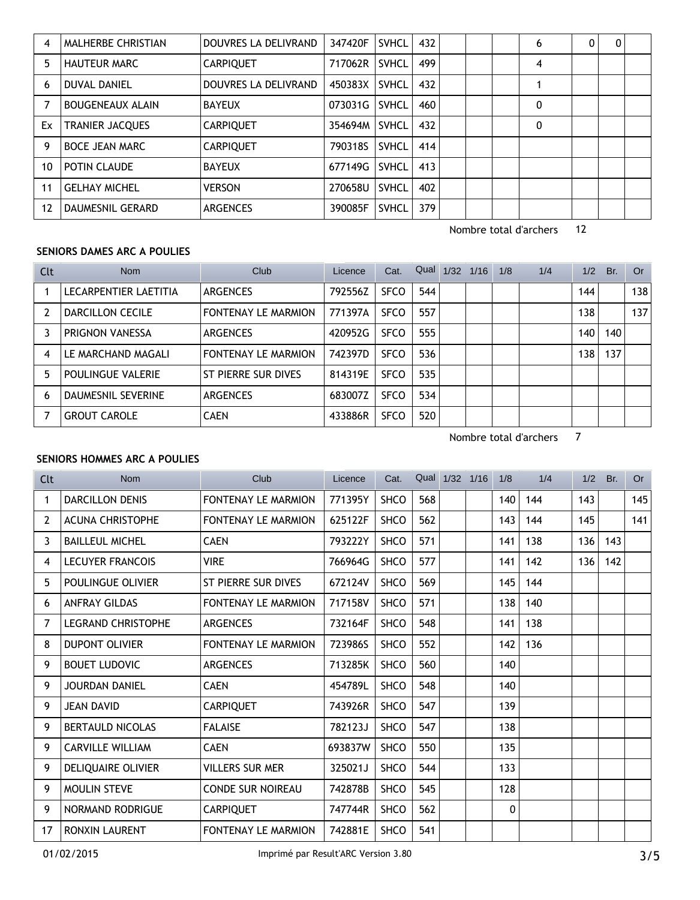| 4  | <b>MALHERBE CHRISTIAN</b> | DOUVRES LA DELIVRAND | 347420F | <b>SVHCL</b> | 432 |  | 6 | 0 | 0 |  |
|----|---------------------------|----------------------|---------|--------------|-----|--|---|---|---|--|
| 5. | <b>HAUTEUR MARC</b>       | <b>CARPIQUET</b>     | 717062R | <b>SVHCL</b> | 499 |  | 4 |   |   |  |
| 6  | <b>DUVAL DANIEL</b>       | DOUVRES LA DELIVRAND | 450383X | <b>SVHCL</b> | 432 |  |   |   |   |  |
|    | <b>BOUGENEAUX ALAIN</b>   | <b>BAYEUX</b>        | 073031G | <b>SVHCL</b> | 460 |  | 0 |   |   |  |
| Ex | <b>TRANIER JACQUES</b>    | <b>CARPIQUET</b>     | 354694M | <b>SVHCL</b> | 432 |  | 0 |   |   |  |
| 9  | <b>BOCE JEAN MARC</b>     | <b>CARPIQUET</b>     | 790318S | <b>SVHCL</b> | 414 |  |   |   |   |  |
| 10 | POTIN CLAUDE              | <b>BAYEUX</b>        | 677149G | <b>SVHCL</b> | 413 |  |   |   |   |  |
| 11 | <b>GELHAY MICHEL</b>      | <b>VERSON</b>        | 270658U | <b>SVHCL</b> | 402 |  |   |   |   |  |
| 12 | DAUMESNIL GERARD          | <b>ARGENCES</b>      | 390085F | <b>SVHCL</b> | 379 |  |   |   |   |  |

### **SENIORS DAMES ARC A POULIES**

| Clt | <b>Nom</b>                | Club                       | Licence | Cat.        | Qual | 1/32 | 1/16 | 1/8 | 1/4 | 1/2 | Br. | 0r  |
|-----|---------------------------|----------------------------|---------|-------------|------|------|------|-----|-----|-----|-----|-----|
|     | LECARPENTIER LAETITIA     | <b>ARGENCES</b>            | 792556Z | <b>SFCO</b> | 544  |      |      |     |     | 144 |     | 138 |
|     | <b>DARCILLON CECILE</b>   | <b>FONTENAY LE MARMION</b> | 771397A | <b>SFCO</b> | 557  |      |      |     |     | 138 |     | 137 |
|     | PRIGNON VANESSA           | <b>ARGENCES</b>            | 420952G | <b>SFCO</b> | 555  |      |      |     |     | 140 | 140 |     |
| 4   | LE MARCHAND MAGALI        | <b>FONTENAY LE MARMION</b> | 742397D | <b>SFCO</b> | 536  |      |      |     |     | 138 | 137 |     |
| 5   | <b>POULINGUE VALERIE</b>  | ST PIERRE SUR DIVES        | 814319E | <b>SFCO</b> | 535  |      |      |     |     |     |     |     |
| 6   | <b>DAUMESNIL SEVERINE</b> | <b>ARGENCES</b>            | 683007Z | <b>SFCO</b> | 534  |      |      |     |     |     |     |     |
|     | <b>GROUT CAROLE</b>       | <b>CAEN</b>                | 433886R | <b>SFCO</b> | 520  |      |      |     |     |     |     |     |

Nombre total d'archers 7

### **SENIORS HOMMES ARC A POULIES**

| Clt | <b>Nom</b>                | Club                       | Licence | Cat.        |     | Qual 1/32 1/16 | 1/8 | 1/4 | 1/2 | Br. | <b>Or</b> |
|-----|---------------------------|----------------------------|---------|-------------|-----|----------------|-----|-----|-----|-----|-----------|
| 1   | <b>DARCILLON DENIS</b>    | <b>FONTENAY LE MARMION</b> | 771395Y | <b>SHCO</b> | 568 |                | 140 | 144 | 143 |     | 145       |
| 2   | <b>ACUNA CHRISTOPHE</b>   | <b>FONTENAY LE MARMION</b> | 625122F | <b>SHCO</b> | 562 |                | 143 | 144 | 145 |     | 141       |
| 3   | <b>BAILLEUL MICHEL</b>    | <b>CAEN</b>                | 793222Y | <b>SHCO</b> | 571 |                | 141 | 138 | 136 | 143 |           |
| 4   | <b>LECUYER FRANCOIS</b>   | <b>VIRE</b>                | 766964G | <b>SHCO</b> | 577 |                | 141 | 142 | 136 | 142 |           |
| 5.  | POULINGUE OLIVIER         | ST PIERRE SUR DIVES        | 672124V | <b>SHCO</b> | 569 |                | 145 | 144 |     |     |           |
| 6   | <b>ANFRAY GILDAS</b>      | <b>FONTENAY LE MARMION</b> | 717158V | <b>SHCO</b> | 571 |                | 138 | 140 |     |     |           |
| 7   | <b>LEGRAND CHRISTOPHE</b> | <b>ARGENCES</b>            | 732164F | SHCO        | 548 |                | 141 | 138 |     |     |           |
| 8   | <b>DUPONT OLIVIER</b>     | <b>FONTENAY LE MARMION</b> | 723986S | SHCO        | 552 |                | 142 | 136 |     |     |           |
| 9   | <b>BOUET LUDOVIC</b>      | <b>ARGENCES</b>            | 713285K | <b>SHCO</b> | 560 |                | 140 |     |     |     |           |
| 9   | <b>JOURDAN DANIEL</b>     | <b>CAEN</b>                | 454789L | <b>SHCO</b> | 548 |                | 140 |     |     |     |           |
| 9   | <b>JEAN DAVID</b>         | <b>CARPIQUET</b>           | 743926R | <b>SHCO</b> | 547 |                | 139 |     |     |     |           |
| 9   | <b>BERTAULD NICOLAS</b>   | <b>FALAISE</b>             | 782123J | <b>SHCO</b> | 547 |                | 138 |     |     |     |           |
| 9   | <b>CARVILLE WILLIAM</b>   | <b>CAEN</b>                | 693837W | SHCO        | 550 |                | 135 |     |     |     |           |
| 9   | DELIQUAIRE OLIVIER        | <b>VILLERS SUR MER</b>     | 325021J | SHCO        | 544 |                | 133 |     |     |     |           |
| 9   | <b>MOULIN STEVE</b>       | <b>CONDE SUR NOIREAU</b>   | 742878B | <b>SHCO</b> | 545 |                | 128 |     |     |     |           |
| 9   | NORMAND RODRIGUE          | <b>CARPIQUET</b>           | 747744R | <b>SHCO</b> | 562 |                | 0   |     |     |     |           |
| 17  | <b>RONXIN LAURENT</b>     | <b>FONTENAY LE MARMION</b> | 742881E | <b>SHCO</b> | 541 |                |     |     |     |     |           |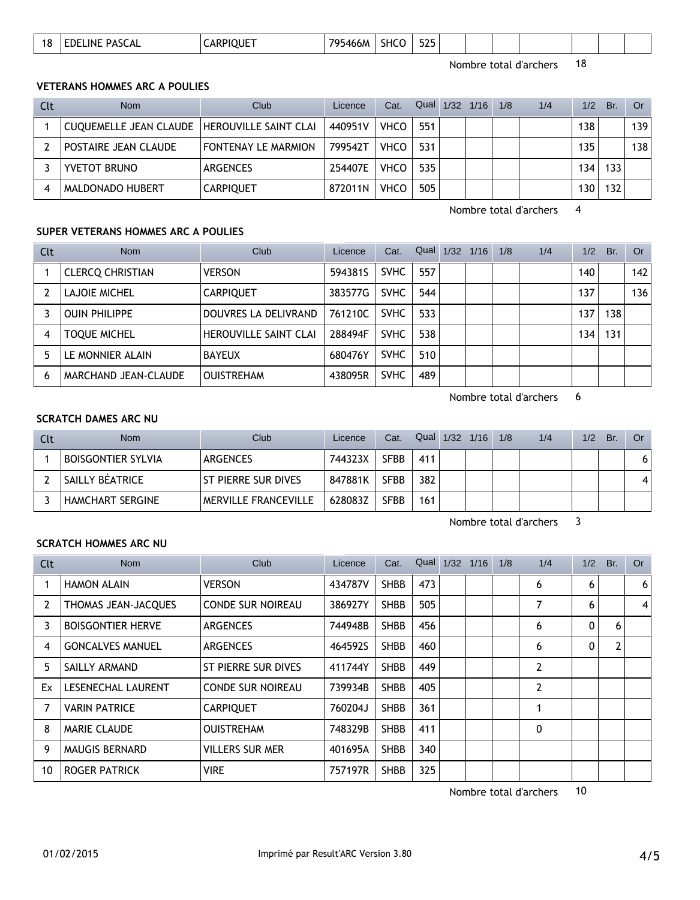| <b>FOF</b><br>PASCAL<br>795466M<br><b>EDELINE</b><br>18<br><b>ADF</b><br>SHC<br>JUE.<br>,,<br>JLJ<br>ט ו<br>__ |  |
|----------------------------------------------------------------------------------------------------------------|--|
|----------------------------------------------------------------------------------------------------------------|--|

#### **VETERANS HOMMES ARC A POULIES**

| Clt | <b>Nom</b>                                     | Club                       | Licence | Cat.        | Qual | 1/32 | 1/16 | 1/8 | 1/4 | 1/2 | Br. | 0r  |
|-----|------------------------------------------------|----------------------------|---------|-------------|------|------|------|-----|-----|-----|-----|-----|
|     | CUQUEMELLE JEAN CLAUDE   HEROUVILLE SAINT CLAI |                            | 440951V | <b>VHCO</b> | 551  |      |      |     |     | 138 |     | 139 |
|     | POSTAIRE JEAN CLAUDE                           | <b>FONTENAY LE MARMION</b> | 799542T | <b>VHCO</b> | 531  |      |      |     |     | 135 |     | 138 |
|     | YVETOT BRUNO                                   | ARGENCES                   | 254407E | <b>VHCO</b> | 535  |      |      |     |     | 134 | 133 |     |
|     | MALDONADO HUBERT                               | <b>CARPIQUET</b>           | 872011N | <b>VHCO</b> | 505  |      |      |     |     | 130 | 132 |     |

Nombre total d'archers 4

#### **SUPER VETERANS HOMMES ARC A POULIES**

| Clt | <b>Nom</b>              | Club                         | Licence | Cat.        | Qual | 1/32 | 1/16 | 1/8 | 1/4 | 1/2 | Br. | <b>Or</b> |
|-----|-------------------------|------------------------------|---------|-------------|------|------|------|-----|-----|-----|-----|-----------|
|     | <b>CLERCQ CHRISTIAN</b> | <b>VERSON</b>                | 594381S | <b>SVHC</b> | 557  |      |      |     |     | 140 |     | 142       |
|     | <b>LAJOIE MICHEL</b>    | <b>CARPIQUET</b>             | 383577G | <b>SVHC</b> | 544  |      |      |     |     | 137 |     | 136       |
|     | <b>OUIN PHILIPPE</b>    | DOUVRES LA DELIVRAND         | 761210C | <b>SVHC</b> | 533  |      |      |     |     | 137 | 138 |           |
| 4   | <b>TOQUE MICHEL</b>     | <b>HEROUVILLE SAINT CLAI</b> | 288494F | <b>SVHC</b> | 538  |      |      |     |     | 134 | 131 |           |
| 5   | LE MONNIER ALAIN        | <b>BAYEUX</b>                | 680476Y | <b>SVHC</b> | 510  |      |      |     |     |     |     |           |
| 6   | MARCHAND JEAN-CLAUDE    | <b>OUISTREHAM</b>            | 438095R | <b>SVHC</b> | 489  |      |      |     |     |     |     |           |

Nombre total d'archers 6

#### **SCRATCH DAMES ARC NU**

| Clt | <b>Nom</b>                | Club                        | Licence | Cat.        | Qual 1/32 1/16 1/8 |  | 1/4 | 1/2 | Br. | Or |
|-----|---------------------------|-----------------------------|---------|-------------|--------------------|--|-----|-----|-----|----|
|     | <b>BOISGONTIER SYLVIA</b> | <b>ARGENCES</b>             | 744323X | <b>SFBB</b> | 411                |  |     |     |     | 6  |
|     | SAILLY BÉATRICE           | ST PIERRE SUR DIVES         | 847881K | <b>SFBB</b> | 382                |  |     |     |     | 4  |
|     | <b>HAMCHART SERGINE</b>   | <b>MERVILLE FRANCEVILLE</b> | 628083Z | <b>SFBB</b> | 161                |  |     |     |     |    |

Nombre total d'archers 3

#### **SCRATCH HOMMES ARC NU**

| Clt | <b>Nom</b>               | Club                     | Licence | Cat.        | Qual | 1/32 | 1/16 | 1/8 | 1/4          | 1/2 | Br.            | <b>Or</b>      |
|-----|--------------------------|--------------------------|---------|-------------|------|------|------|-----|--------------|-----|----------------|----------------|
|     | <b>HAMON ALAIN</b>       | <b>VERSON</b>            | 434787V | <b>SHBB</b> | 473  |      |      |     | 6            | 6   |                | 6              |
| 2   | THOMAS JEAN-JACQUES      | <b>CONDE SUR NOIREAU</b> | 386927Y | <b>SHBB</b> | 505  |      |      |     | 7            | 6   |                | $\overline{4}$ |
| 3   | <b>BOISGONTIER HERVE</b> | <b>ARGENCES</b>          | 744948B | <b>SHBB</b> | 456  |      |      |     | 6            | 0   | 6              |                |
| 4   | <b>GONCALVES MANUEL</b>  | <b>ARGENCES</b>          | 464592S | <b>SHBB</b> | 460  |      |      |     | 6            | 0   | $\overline{2}$ |                |
| 5.  | SAILLY ARMAND            | ST PIERRE SUR DIVES      | 411744Y | <b>SHBB</b> | 449  |      |      |     | 2            |     |                |                |
| Ex  | LESENECHAL LAURENT       | <b>CONDE SUR NOIREAU</b> | 739934B | <b>SHBB</b> | 405  |      |      |     | 2            |     |                |                |
|     | <b>VARIN PATRICE</b>     | <b>CARPIQUET</b>         | 760204J | <b>SHBB</b> | 361  |      |      |     |              |     |                |                |
| 8   | <b>MARIE CLAUDE</b>      | <b>OUISTREHAM</b>        | 748329B | <b>SHBB</b> | 411  |      |      |     | $\mathbf{0}$ |     |                |                |
| 9   | <b>MAUGIS BERNARD</b>    | <b>VILLERS SUR MER</b>   | 401695A | <b>SHBB</b> | 340  |      |      |     |              |     |                |                |
| 10  | ROGER PATRICK            | <b>VIRE</b>              | 757197R | <b>SHBB</b> | 325  |      |      |     |              |     |                |                |

Nombre total d'archers 10